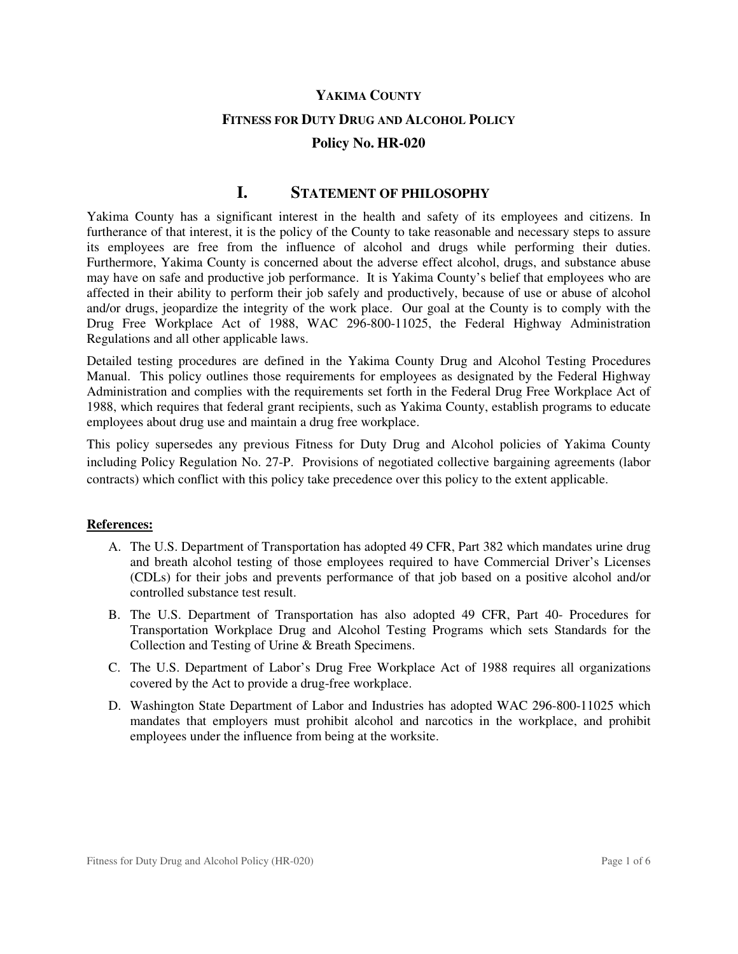#### **YAKIMA COUNTY**

#### **FITNESS FOR DUTY DRUG AND ALCOHOL POLICY**

## **Policy No. HR-020**

# **I. STATEMENT OF PHILOSOPHY**

Yakima County has a significant interest in the health and safety of its employees and citizens. In furtherance of that interest, it is the policy of the County to take reasonable and necessary steps to assure its employees are free from the influence of alcohol and drugs while performing their duties. Furthermore, Yakima County is concerned about the adverse effect alcohol, drugs, and substance abuse may have on safe and productive job performance. It is Yakima County's belief that employees who are affected in their ability to perform their job safely and productively, because of use or abuse of alcohol and/or drugs, jeopardize the integrity of the work place. Our goal at the County is to comply with the Drug Free Workplace Act of 1988, WAC 296-800-11025, the Federal Highway Administration Regulations and all other applicable laws.

Detailed testing procedures are defined in the Yakima County Drug and Alcohol Testing Procedures Manual. This policy outlines those requirements for employees as designated by the Federal Highway Administration and complies with the requirements set forth in the Federal Drug Free Workplace Act of 1988, which requires that federal grant recipients, such as Yakima County, establish programs to educate employees about drug use and maintain a drug free workplace.

This policy supersedes any previous Fitness for Duty Drug and Alcohol policies of Yakima County including Policy Regulation No. 27-P. Provisions of negotiated collective bargaining agreements (labor contracts) which conflict with this policy take precedence over this policy to the extent applicable.

#### **References:**

- A. The U.S. Department of Transportation has adopted 49 CFR, Part 382 which mandates urine drug and breath alcohol testing of those employees required to have Commercial Driver's Licenses (CDLs) for their jobs and prevents performance of that job based on a positive alcohol and/or controlled substance test result.
- B. The U.S. Department of Transportation has also adopted 49 CFR, Part 40- Procedures for Transportation Workplace Drug and Alcohol Testing Programs which sets Standards for the Collection and Testing of Urine & Breath Specimens.
- C. The U.S. Department of Labor's Drug Free Workplace Act of 1988 requires all organizations covered by the Act to provide a drug-free workplace.
- D. Washington State Department of Labor and Industries has adopted WAC 296-800-11025 which mandates that employers must prohibit alcohol and narcotics in the workplace, and prohibit employees under the influence from being at the worksite.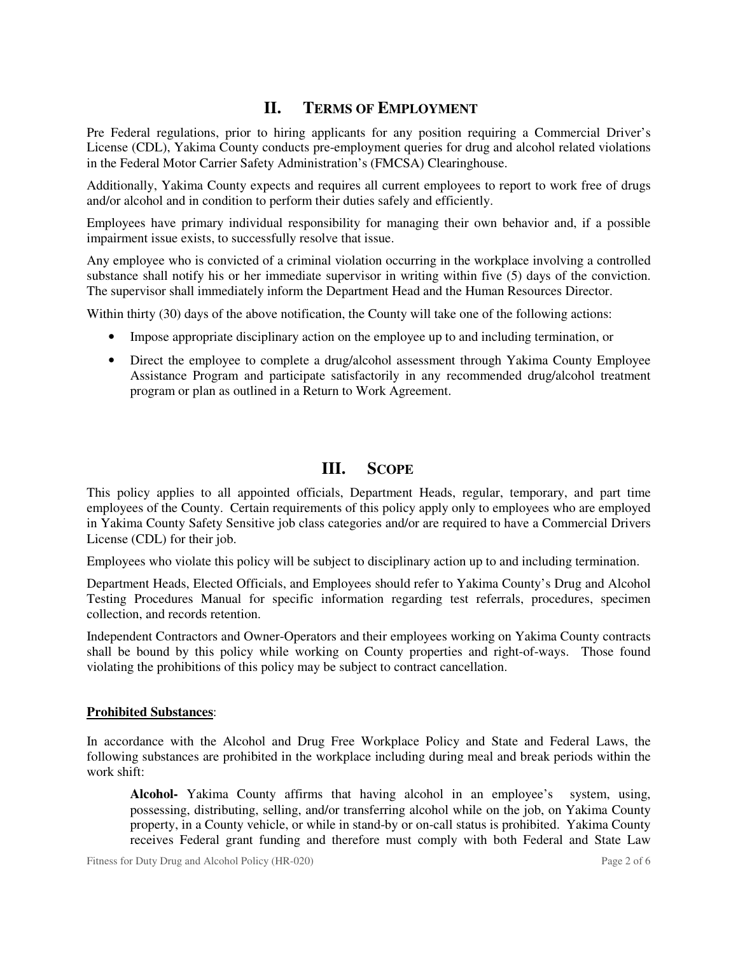# **II. TERMS OF EMPLOYMENT**

Pre Federal regulations, prior to hiring applicants for any position requiring a Commercial Driver's License (CDL), Yakima County conducts pre-employment queries for drug and alcohol related violations in the Federal Motor Carrier Safety Administration's (FMCSA) Clearinghouse.

Additionally, Yakima County expects and requires all current employees to report to work free of drugs and/or alcohol and in condition to perform their duties safely and efficiently.

Employees have primary individual responsibility for managing their own behavior and, if a possible impairment issue exists, to successfully resolve that issue.

Any employee who is convicted of a criminal violation occurring in the workplace involving a controlled substance shall notify his or her immediate supervisor in writing within five (5) days of the conviction. The supervisor shall immediately inform the Department Head and the Human Resources Director.

Within thirty (30) days of the above notification, the County will take one of the following actions:

- Impose appropriate disciplinary action on the employee up to and including termination, or
- Direct the employee to complete a drug/alcohol assessment through Yakima County Employee Assistance Program and participate satisfactorily in any recommended drug/alcohol treatment program or plan as outlined in a Return to Work Agreement.

# **III. SCOPE**

This policy applies to all appointed officials, Department Heads, regular, temporary, and part time employees of the County. Certain requirements of this policy apply only to employees who are employed in Yakima County Safety Sensitive job class categories and/or are required to have a Commercial Drivers License (CDL) for their job.

Employees who violate this policy will be subject to disciplinary action up to and including termination.

Department Heads, Elected Officials, and Employees should refer to Yakima County's Drug and Alcohol Testing Procedures Manual for specific information regarding test referrals, procedures, specimen collection, and records retention.

Independent Contractors and Owner-Operators and their employees working on Yakima County contracts shall be bound by this policy while working on County properties and right-of-ways. Those found violating the prohibitions of this policy may be subject to contract cancellation.

## **Prohibited Substances**:

In accordance with the Alcohol and Drug Free Workplace Policy and State and Federal Laws, the following substances are prohibited in the workplace including during meal and break periods within the work shift:

**Alcohol-** Yakima County affirms that having alcohol in an employee's system, using, possessing, distributing, selling, and/or transferring alcohol while on the job, on Yakima County property, in a County vehicle, or while in stand-by or on-call status is prohibited. Yakima County receives Federal grant funding and therefore must comply with both Federal and State Law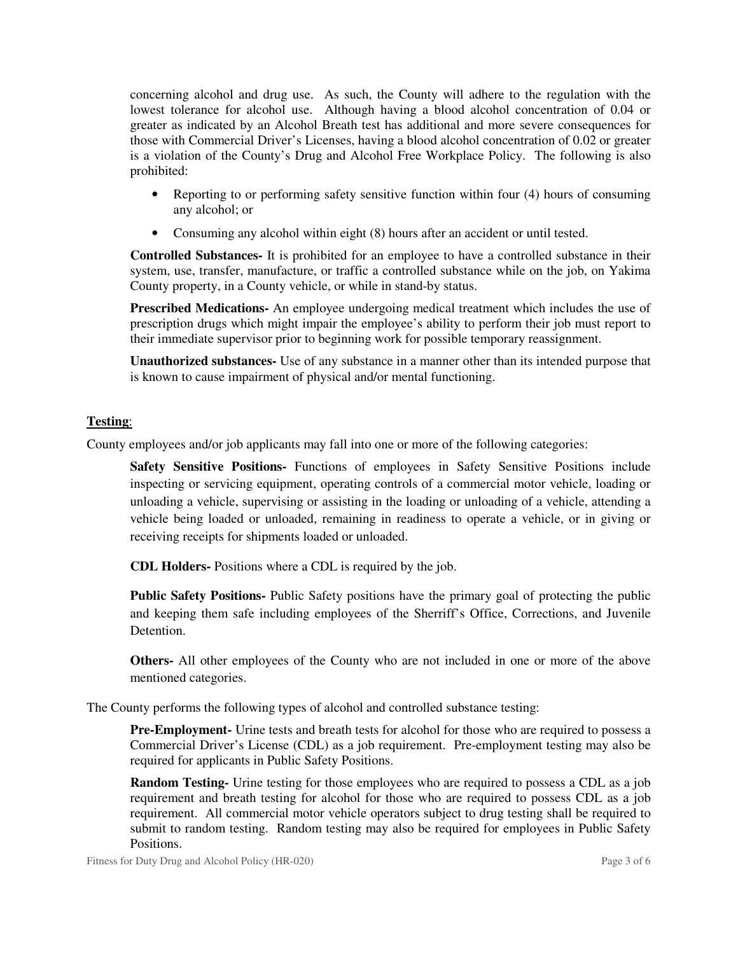concerning alcohol and drug use. As such, the County will adhere to the regulation with the lowest tolerance for alcohol use. Although having a blood alcohol concentration of 0.04 or greater as indicated by an Alcohol Breath test has additional and more severe consequences for those with Commercial Driver's Licenses, having a blood alcohol concentration of 0.02 or greater is a violation of the County's Drug and Alcohol Free Workplace Policy. The following is also prohibited:

- Reporting to or performing safety sensitive function within four (4) hours of consuming any alcohol; or
- Consuming any alcohol within eight (8) hours after an accident or until tested.

**Controlled Substances-** It is prohibited for an employee to have a controlled substance in their system, use, transfer, manufacture, or traffic a controlled substance while on the job, on Yakima County property, in a County vehicle, or while in stand-by status.

**Prescribed Medications-** An employee undergoing medical treatment which includes the use of prescription drugs which might impair the employee's ability to perform their job must report to their immediate supervisor prior to beginning work for possible temporary reassignment.

**Unauthorized substances-** Use of any substance in a manner other than its intended purpose that is known to cause impairment of physical and/or mental functioning.

# **Testing**:

County employees and/or job applicants may fall into one or more of the following categories:

**Safety Sensitive Positions-** Functions of employees in Safety Sensitive Positions include inspecting or servicing equipment, operating controls of a commercial motor vehicle, loading or unloading a vehicle, supervising or assisting in the loading or unloading of a vehicle, attending a vehicle being loaded or unloaded, remaining in readiness to operate a vehicle, or in giving or receiving receipts for shipments loaded or unloaded.

**CDL Holders-** Positions where a CDL is required by the job.

**Public Safety Positions-** Public Safety positions have the primary goal of protecting the public and keeping them safe including employees of the Sherriff's Office, Corrections, and Juvenile Detention.

**Others-** All other employees of the County who are not included in one or more of the above mentioned categories.

The County performs the following types of alcohol and controlled substance testing:

**Pre-Employment-** Urine tests and breath tests for alcohol for those who are required to possess a Commercial Driver's License (CDL) as a job requirement. Pre-employment testing may also be required for applicants in Public Safety Positions.

**Random Testing-** Urine testing for those employees who are required to possess a CDL as a job requirement and breath testing for alcohol for those who are required to possess CDL as a job requirement. All commercial motor vehicle operators subject to drug testing shall be required to submit to random testing. Random testing may also be required for employees in Public Safety Positions.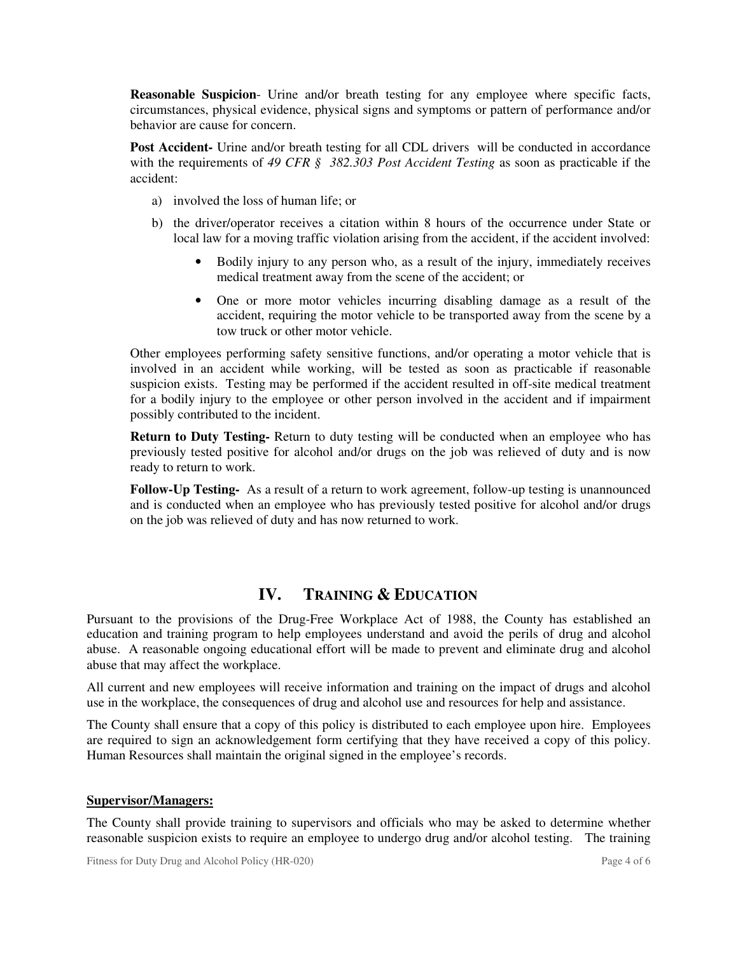**Reasonable Suspicion**- Urine and/or breath testing for any employee where specific facts, circumstances, physical evidence, physical signs and symptoms or pattern of performance and/or behavior are cause for concern.

**Post Accident-** Urine and/or breath testing for all CDL drivers will be conducted in accordance with the requirements of *49 CFR § 382.303 Post Accident Testing* as soon as practicable if the accident:

- a) involved the loss of human life; or
- b) the driver/operator receives a citation within 8 hours of the occurrence under State or local law for a moving traffic violation arising from the accident, if the accident involved:
	- Bodily injury to any person who, as a result of the injury, immediately receives medical treatment away from the scene of the accident; or
	- One or more motor vehicles incurring disabling damage as a result of the accident, requiring the motor vehicle to be transported away from the scene by a tow truck or other motor vehicle.

Other employees performing safety sensitive functions, and/or operating a motor vehicle that is involved in an accident while working, will be tested as soon as practicable if reasonable suspicion exists. Testing may be performed if the accident resulted in off-site medical treatment for a bodily injury to the employee or other person involved in the accident and if impairment possibly contributed to the incident.

**Return to Duty Testing-** Return to duty testing will be conducted when an employee who has previously tested positive for alcohol and/or drugs on the job was relieved of duty and is now ready to return to work.

**Follow-Up Testing-** As a result of a return to work agreement, follow-up testing is unannounced and is conducted when an employee who has previously tested positive for alcohol and/or drugs on the job was relieved of duty and has now returned to work.

# **IV. TRAINING & EDUCATION**

Pursuant to the provisions of the Drug-Free Workplace Act of 1988, the County has established an education and training program to help employees understand and avoid the perils of drug and alcohol abuse. A reasonable ongoing educational effort will be made to prevent and eliminate drug and alcohol abuse that may affect the workplace.

All current and new employees will receive information and training on the impact of drugs and alcohol use in the workplace, the consequences of drug and alcohol use and resources for help and assistance.

The County shall ensure that a copy of this policy is distributed to each employee upon hire. Employees are required to sign an acknowledgement form certifying that they have received a copy of this policy. Human Resources shall maintain the original signed in the employee's records.

## **Supervisor/Managers:**

The County shall provide training to supervisors and officials who may be asked to determine whether reasonable suspicion exists to require an employee to undergo drug and/or alcohol testing. The training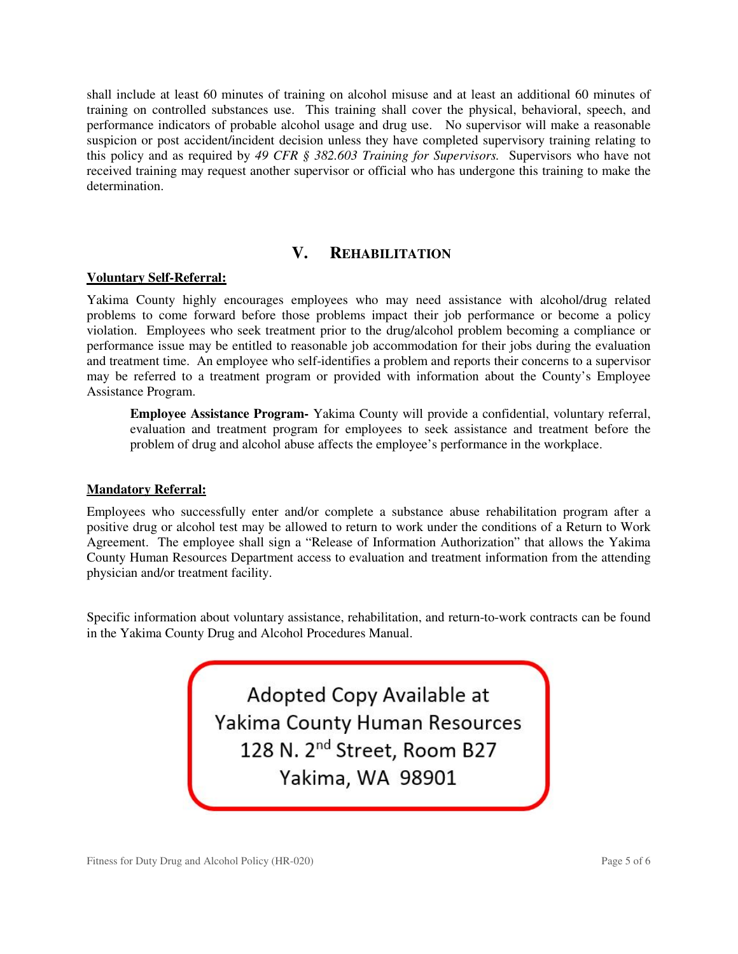shall include at least 60 minutes of training on alcohol misuse and at least an additional 60 minutes of training on controlled substances use. This training shall cover the physical, behavioral, speech, and performance indicators of probable alcohol usage and drug use. No supervisor will make a reasonable suspicion or post accident/incident decision unless they have completed supervisory training relating to this policy and as required by *49 CFR § 382.603 Training for Supervisors.* Supervisors who have not received training may request another supervisor or official who has undergone this training to make the determination.

# **V. REHABILITATION**

### **Voluntary Self-Referral:**

Yakima County highly encourages employees who may need assistance with alcohol/drug related problems to come forward before those problems impact their job performance or become a policy violation. Employees who seek treatment prior to the drug/alcohol problem becoming a compliance or performance issue may be entitled to reasonable job accommodation for their jobs during the evaluation and treatment time. An employee who self-identifies a problem and reports their concerns to a supervisor may be referred to a treatment program or provided with information about the County's Employee Assistance Program.

**Employee Assistance Program-** Yakima County will provide a confidential, voluntary referral, evaluation and treatment program for employees to seek assistance and treatment before the problem of drug and alcohol abuse affects the employee's performance in the workplace.

## **Mandatory Referral:**

Employees who successfully enter and/or complete a substance abuse rehabilitation program after a positive drug or alcohol test may be allowed to return to work under the conditions of a Return to Work Agreement. The employee shall sign a "Release of Information Authorization" that allows the Yakima County Human Resources Department access to evaluation and treatment information from the attending physician and/or treatment facility.

Specific information about voluntary assistance, rehabilitation, and return-to-work contracts can be found in the Yakima County Drug and Alcohol Procedures Manual.

> Adopted Copy Available at Yakima County Human Resources 128 N. 2<sup>nd</sup> Street, Room B27 Yakima, WA 98901